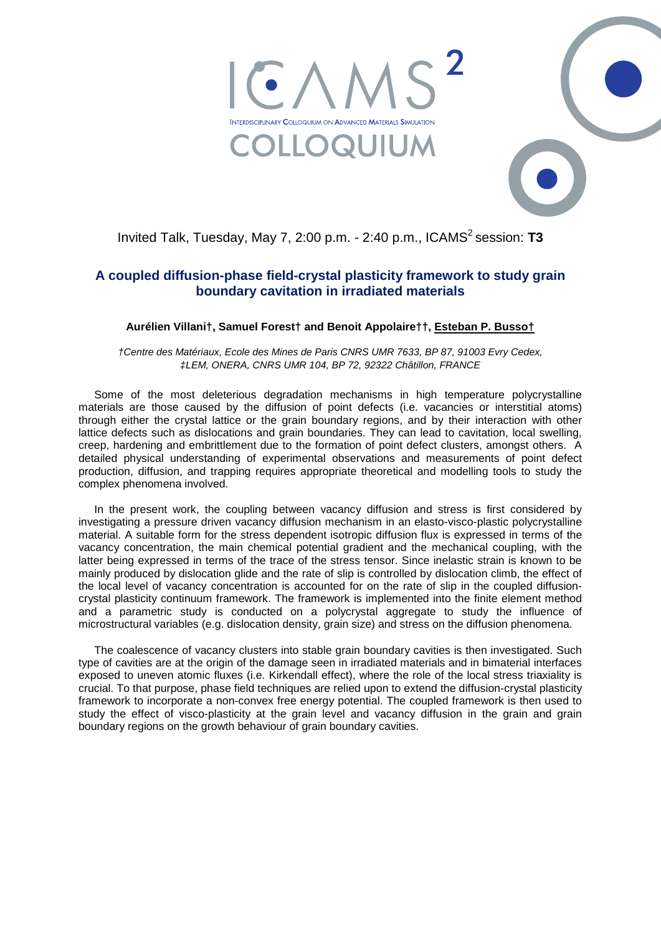



Invited Talk, Tuesday, May 7, 2:00 p.m. - 2:40 p.m., ICAMS<sup>2</sup> session: T3

## **A coupled diffusion-phase field-crystal plasticity framework to study grain boundary cavitation in irradiated materials**

## **Aurélien Villani†, Samuel Forest† and Benoit Appolaire††, Esteban P. Busso†**

*†Centre des Matériaux, Ecole des Mines de Paris CNRS UMR 7633, BP 87, 91003 Evry Cedex, ‡LEM, ONERA, CNRS UMR 104, BP 72, 92322 Châtillon, FRANCE* 

Some of the most deleterious degradation mechanisms in high temperature polycrystalline materials are those caused by the diffusion of point defects (i.e. vacancies or interstitial atoms) through either the crystal lattice or the grain boundary regions, and by their interaction with other lattice defects such as dislocations and grain boundaries. They can lead to cavitation, local swelling, creep, hardening and embrittlement due to the formation of point defect clusters, amongst others. A detailed physical understanding of experimental observations and measurements of point defect production, diffusion, and trapping requires appropriate theoretical and modelling tools to study the complex phenomena involved.

In the present work, the coupling between vacancy diffusion and stress is first considered by investigating a pressure driven vacancy diffusion mechanism in an elasto-visco-plastic polycrystalline material. A suitable form for the stress dependent isotropic diffusion flux is expressed in terms of the vacancy concentration, the main chemical potential gradient and the mechanical coupling, with the latter being expressed in terms of the trace of the stress tensor. Since inelastic strain is known to be mainly produced by dislocation glide and the rate of slip is controlled by dislocation climb, the effect of the local level of vacancy concentration is accounted for on the rate of slip in the coupled diffusioncrystal plasticity continuum framework. The framework is implemented into the finite element method and a parametric study is conducted on a polycrystal aggregate to study the influence of microstructural variables (e.g. dislocation density, grain size) and stress on the diffusion phenomena.

The coalescence of vacancy clusters into stable grain boundary cavities is then investigated. Such type of cavities are at the origin of the damage seen in irradiated materials and in bimaterial interfaces exposed to uneven atomic fluxes (i.e. Kirkendall effect), where the role of the local stress triaxiality is crucial. To that purpose, phase field techniques are relied upon to extend the diffusion-crystal plasticity framework to incorporate a non-convex free energy potential. The coupled framework is then used to study the effect of visco-plasticity at the grain level and vacancy diffusion in the grain and grain boundary regions on the growth behaviour of grain boundary cavities.